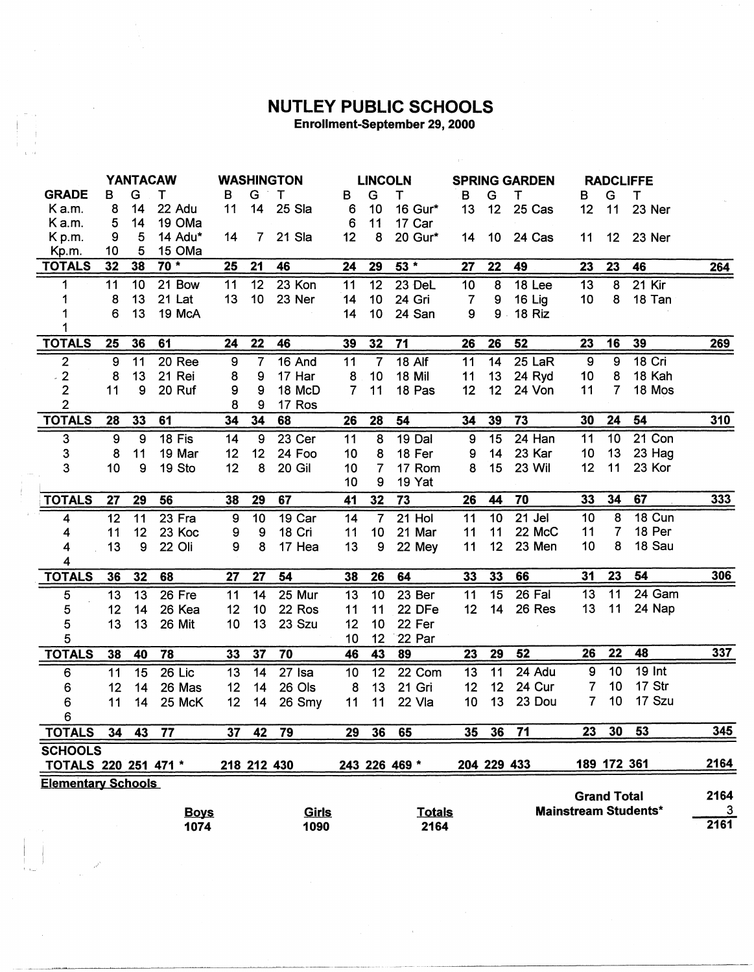## **NUTLEY PUBLIC SCHOOLS**<br>Enrollment-September 29, 2000

|                           | <b>YANTACAW</b>  |                 |             | <b>WASHINGTON</b> |                | <b>LINCOLN</b> |                |                         | <b>SPRING GARDEN</b> |                |                 | <b>RADCLIFFE</b> |                  |                    |                             |      |
|---------------------------|------------------|-----------------|-------------|-------------------|----------------|----------------|----------------|-------------------------|----------------------|----------------|-----------------|------------------|------------------|--------------------|-----------------------------|------|
| <b>GRADE</b>              | в                | G               | т           | B                 | G              | $-$ T          | в              | G                       | Τ                    | В              | G               | т                | в                | G                  | T                           |      |
| K a.m.                    | 8                | 14              | 22 Adu      | 11                | 14             | 25 Sla         | 6              | 10                      | 16 Gur*              | 13             | 12              | 25 Cas           | 12               | 11                 | 23 Ner                      |      |
| K a.m.                    | 5                | 14              | 19 OMa      |                   |                |                | 6              | 11                      | 17 Car               |                |                 |                  |                  |                    |                             |      |
| K <sub>p.m.</sub>         | 9                | 5               | 14 Adu*     | 14                | $\overline{7}$ | 21 Sla         | 12             | 8                       | 20 Gur*              | 14             | 10 <sub>1</sub> | 24 Cas           | 11               | 12 <sup>2</sup>    | 23 Ner                      |      |
| Kp.m.                     | 10               | 5               | 15 OMa      |                   |                |                |                |                         |                      |                |                 |                  |                  |                    |                             |      |
| <b>TOTALS</b>             | 32               | 38              | $70*$       | 25                | 21             | 46             | 24             | 29                      | $53 *$               | 27             | 22              | 49               | 23               | 23                 | 46                          | 264  |
| 1                         | 11               | 10 <sub>1</sub> | 21 Bow      | 11                | 12             | 23 Kon         | 11             | 12                      | 23 DeL               | 10             | 8               | 18 Lee           | 13               | 8                  | 21 Kir                      |      |
| 1                         | 8                | 13              | 21 Lat      | 13                | 10             | 23 Ner         | 14             | 10                      | 24 Gri               | $\overline{7}$ | 9               | 16 Lig           | 10               | 8                  | 18 Tan                      |      |
| 1                         | 6                | 13              | 19 McA      |                   |                |                | 14             | 10                      | 24 San               | 9              | $9$ .           | 18 Riz           |                  |                    |                             |      |
| 1                         |                  |                 |             |                   |                |                |                |                         |                      |                |                 |                  |                  |                    |                             |      |
| <b>TOTALS</b>             | 25               | 36              | 61          | 24                | 22             | 46             | 39             | 32                      | 71                   | 26             | 26              | 52               | 23               | 16                 | 39                          | 269  |
| $\overline{\mathbf{c}}$   | $\boldsymbol{9}$ | 11              | 20 Ree      | 9                 | 7              | 16 And         | 11             | $\overline{7}$          | $18$ Alf             | 11             | 14              | 25 LaR           | $\overline{9}$   | $\overline{9}$     | 18 Cri                      |      |
| $\mathbf{2}$              | 8                | 13              | 21 Rei      | 8                 | 9              | 17 Har         | 8              | 10                      | 18 Mil               | 11             | 13              | 24 Ryd           | 10               | 8                  | 18 Kah                      |      |
| $\mathbf{2}$              | 11               | 9               | 20 Ruf      | 9                 | 9              | 18 McD         | $\overline{7}$ | 11                      | 18 Pas               | 12             | 12 <sup>2</sup> | 24 Von           | 11               | 7                  | 18 Mos                      |      |
| $\overline{2}$            |                  |                 |             | 8                 | 9              | 17 Ros         |                |                         |                      |                |                 |                  |                  |                    |                             |      |
| <b>TOTALS</b>             | 28               | 33              | 61          | 34                | 34             | 68             | 26             | 28                      | 54                   | 34             | 39              | 73               | 30               | 24                 | 54                          | 310  |
| 3                         | 9                | 9               | 18 Fis      | 14                | 9              | 23 Cer         | 11             | 8                       | 19 Dal               | 9              | 15              | 24 Han           | 11               | 10                 | 21 Con                      |      |
| 3                         | 8                | 11              | 19 Mar      | 12                | 12             | 24 Foo         | 10             | 8                       | 18 Fer               | 9              | 14              | 23 Kar           | 10               | 13                 | 23 Hag                      |      |
| 3                         | 10               | 9               | 19 Sto      | 12                | 8              | 20 Gil         | 10             | $\overline{7}$          | 17 Rom               | 8              | 15              | <b>23 Wil</b>    | 12               | 11                 | 23 Kor                      |      |
|                           |                  |                 |             |                   |                |                | 10             | 9                       | 19 Yat               |                |                 |                  |                  |                    |                             |      |
| <b>TOTALS</b>             | 27               | 29              | 56          | 38                | 29             | 67             | 41             | 32                      | 73                   | 26             | 44              | 70               | 33               | 34                 | 67                          | 333  |
| 4                         | 12               | 11              | 23 Fra      | 9                 | 10             | 19 Car         | 14             | $\overline{\mathbf{7}}$ | 21 Hol               | 11             | 10              | 21 Jel           | 10               | 8                  | 18 Cun                      |      |
| 4                         | 11               | 12              | 23 Koc      | 9                 | 9              | 18 Cri         | 11             | 10                      | 21 Mar               | 11             | 11              | 22 McC           | 11               | $\overline{7}$     | 18 Per                      |      |
| 4                         | 13               | 9               | 22 Oli      | 9                 | 8              | 17 Hea         | 13             | 9                       | 22 Mey               | 11             | 12              | 23 Men           | 10               | 8                  | 18 Sau                      |      |
| 4                         |                  |                 |             |                   |                |                |                |                         |                      |                |                 |                  |                  |                    |                             |      |
| <b>TOTALS</b>             | 36               | 32              | 68          | 27                | 27             | 54             | 38             | 26                      | 64                   | 33             | 33              | 66               | 31               | 23                 | 54                          | 306  |
| 5                         | 13               | 13              | 26 Fre      | 11                | 14             | 25 Mur         | 13             | 10                      | 23 Ber               | 11             | 15              | 26 Fal           | 13               | $\overline{11}$    | 24 Gam                      |      |
| 5                         | 12               | 14              | 26 Kea      | 12                | 10             | 22 Ros         | 11             | 11                      | 22 DFe               | 12             | 14              | 26 Res           | 13               | 11                 | 24 Nap                      |      |
| 5                         | 13               | 13              | 26 Mit      | 10                | 13             | 23 Szu         | 12             | 10                      | 22 Fer               |                |                 |                  |                  |                    |                             |      |
| 5                         |                  |                 |             |                   |                |                | 10             | 12                      | 22 Par               |                |                 |                  |                  |                    |                             |      |
| <b>TOTALS</b>             | 38               | 40              | 78          | 33                | 37             | 70             | 46             | 43                      | 89                   | 23             | 29              | 52               | 26               | 22                 | 48                          | 337  |
| 6                         | 11               | 15              | 26 Lic      | 13                | 14             | $27$ Isa       | 10             | 12                      | 22 Com               | 13             | 11              | 24 Adu           | $\boldsymbol{9}$ | $\overline{10}$    | <b>19 Int</b>               |      |
| 6                         | 12               | 14              | 26 Mas      | 12                | 14             | 26 Ols         | 8              | 13                      | 21 Gri               | 12             | 12              | 24 Cur           | $\overline{7}$   | 10                 | 17 Str                      |      |
| 6                         | 11               | 14              | 25 McK      | 12                | 14             | 26 Smy         | 11             | 11                      | 22 Vla               | 10             | 13              | 23 Dou           | $\overline{7}$   | 10                 | 17 Szu                      |      |
| 6                         |                  |                 |             |                   |                |                |                |                         |                      |                |                 |                  |                  |                    |                             |      |
| <b>TOTALS</b>             | 34               | 43              | 77          | 37                | 42             | 79             | 29             | 36                      | 65                   | 35             | 36              | 71               | 23               | 30                 | 53                          | 345  |
| <b>SCHOOLS</b>            |                  |                 |             |                   |                |                |                |                         |                      |                |                 |                  |                  |                    |                             |      |
| TOTALS 220 251 471 *      |                  |                 |             |                   | 218 212 430    |                |                |                         | 243 226 469 *        |                | 204 229 433     |                  |                  | 189 172 361        |                             | 2164 |
| <b>Elementary Schools</b> |                  |                 |             |                   |                |                |                |                         |                      |                |                 |                  |                  |                    |                             |      |
|                           |                  |                 |             |                   |                |                |                |                         |                      |                |                 |                  |                  | <b>Grand Total</b> |                             | 2164 |
|                           |                  |                 | <b>Boys</b> |                   |                | Girls          |                |                         | <b>Totals</b>        |                |                 |                  |                  |                    | <b>Mainstream Students*</b> | 3    |
|                           |                  |                 | 1074        |                   |                | 1090           |                |                         | 2164                 |                |                 |                  |                  |                    |                             | 2161 |